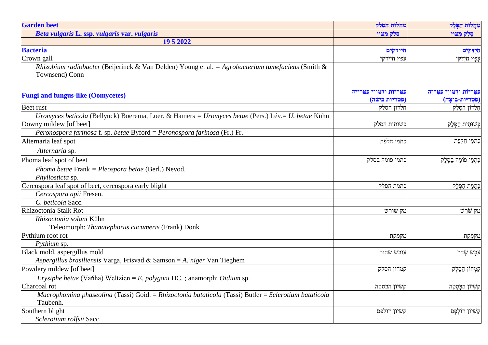| <b>Garden</b> beet                                                                                       | מחלות הסלק           | מחלות הפלק                       |
|----------------------------------------------------------------------------------------------------------|----------------------|----------------------------------|
| Beta vulgaris L. ssp. vulgaris var. vulgaris                                                             | סלק מצוי             | סֵלֵק מָצוּי                     |
| 19 5 2022                                                                                                |                      |                                  |
| <b>Bacteria</b>                                                                                          | חיידקים              | חידקים                           |
| Crown gall                                                                                               | עפץ חיידקי           | עָפָץ חַיִדַקִּי                 |
| <i>Rhizobium radiobacter</i> (Beijerinck & Van Delden) Young et al. = Agrobacterium tumefaciens (Smith & |                      |                                  |
| Townsend) Conn                                                                                           |                      |                                  |
|                                                                                                          |                      |                                  |
| <b>Fungi and fungus-like (Oomycetes)</b>                                                                 | פטריות ודמויי פטרייה | פּטְרִיוֹת וּדְמוּיֵי פִּטְרְיָה |
|                                                                                                          | (פטריות ביצה)        | (פִטְרִיּוֹת-בֵּיצָה)            |
| Beet rust                                                                                                | חלדון הסלק           | חֶלְדוֹן הַסֶּלֶק                |
| Uromyces beticola (Bellynck) Boerema, Loer. & Hamers = Uromyces betae (Pers.) Lév.= U. betae Kühn        |                      |                                  |
| Downy mildew [of beet]                                                                                   | כשותית הסלק          | כשותית הסלק                      |
| Peronospora farinosa f. sp. betae Byford = Peronospora farinosa (Fr.) Fr.                                |                      |                                  |
| Alternaria leaf spot                                                                                     | כתמי חלפת            | כתמי חלפת                        |
| Alternaria sp.                                                                                           |                      |                                  |
| Phoma leaf spot of beet                                                                                  | כתמי פומה בסלק       | כִּתְמֵי פוֹמָה בַּסֶּלֶק        |
| Phoma betae Frank = Pleospora betae (Berl.) Nevod.                                                       |                      |                                  |
| Phyllosticta sp.                                                                                         |                      |                                  |
| Cercospora leaf spot of beet, cercospora early blight                                                    | כתמת הסלק            | כתמת הסלק                        |
| Cercospora apii Fresen.                                                                                  |                      |                                  |
| C. beticola Sacc.                                                                                        |                      |                                  |
| Rhizoctonia Stalk Rot                                                                                    | מק שורש              | מַק שֹׁרֵשׁ                      |
| Rhizoctonia solani Kühn                                                                                  |                      |                                  |
| Teleomorph: Thanatephorus cucumeris (Frank) Donk                                                         |                      |                                  |
| Pythium root rot                                                                                         | מקמקת                | מַקְמֶקֶת                        |
| Pythium sp.                                                                                              |                      |                                  |
| Black mold, aspergillus mold                                                                             | עובש שחור            | עֹבֵשׁ שַׁחֹר                    |
| Aspergillus brasiliensis Varga, Frisvad & Samson = A. niger Van Tieghem                                  |                      |                                  |
| Powdery mildew [of beet]                                                                                 | קמחון הסלק           | קמְחוֹן הַסֶּלֶק                 |
| Erysiphe betae (Vaňha) Weltzien = E. polygoni DC.; anamorph: Oidium sp.                                  |                      |                                  |
| Charcoal rot                                                                                             | קשיון הבטטה          | קשִׁיוֹן הַבָּטָטָה              |
| Macrophomina phaseolina (Tassi) Goid. = Rhizoctonia bataticola (Tassi) Butler = Sclerotium bataticola    |                      |                                  |
| Taubenh.                                                                                                 |                      |                                  |
| Southern blight                                                                                          | קשיון רולפס          | קשִׁיוֹן רוֹלִפָּס               |
| Sclerotium rolfsii Sacc.                                                                                 |                      |                                  |